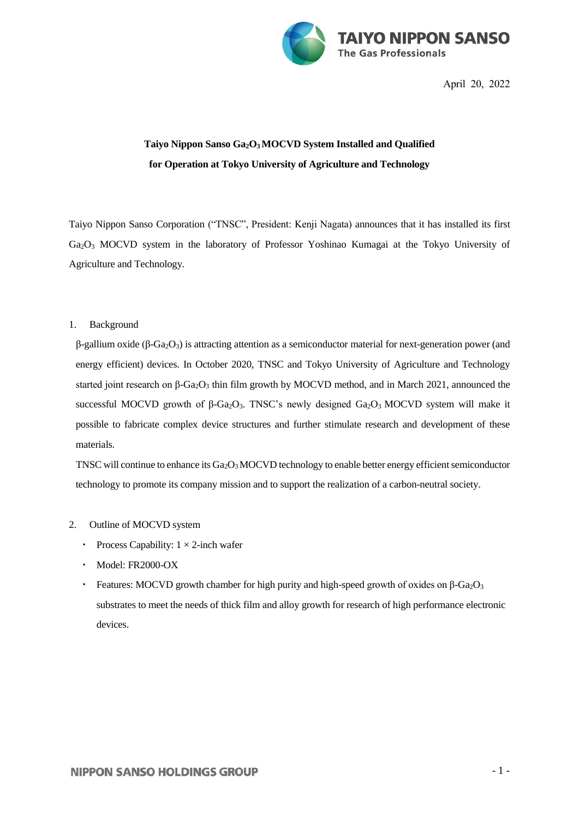

April 20, 2022

## **Taiyo Nippon Sanso Ga2O3 MOCVD System Installed and Qualified for Operation at Tokyo University of Agriculture and Technology**

Taiyo Nippon Sanso Corporation ("TNSC", President: Kenji Nagata) announces that it has installed its first Ga2O<sup>3</sup> MOCVD system in the laboratory of Professor Yoshinao Kumagai at the Tokyo University of Agriculture and Technology.

## 1. Background

 $β$ -gallium oxide ( $β$ -Ga<sub>2</sub>O<sub>3</sub>) is attracting attention as a semiconductor material for next-generation power (and energy efficient) devices. In October 2020, TNSC and Tokyo University of Agriculture and Technology started joint research on β-Ga<sub>2</sub>O<sub>3</sub> thin film growth by MOCVD method, and in March 2021, announced the successful MOCVD growth of β-Ga<sub>2</sub>O<sub>3</sub>. TNSC's newly designed Ga<sub>2</sub>O<sub>3</sub> MOCVD system will make it possible to fabricate complex device structures and further stimulate research and development of these materials.

TNSC will continue to enhance its Ga2O3MOCVD technology to enable better energy efficient semiconductor technology to promote its company mission and to support the realization of a carbon-neutral society.

- 2. Outline of MOCVD system
	- Process Capability:  $1 \times 2$ -inch wafer
	- ・ Model: FR2000-OX
	- Features: MOCVD growth chamber for high purity and high-speed growth of oxides on β-Ga<sub>2</sub>O<sub>3</sub> substrates to meet the needs of thick film and alloy growth for research of high performance electronic devices.